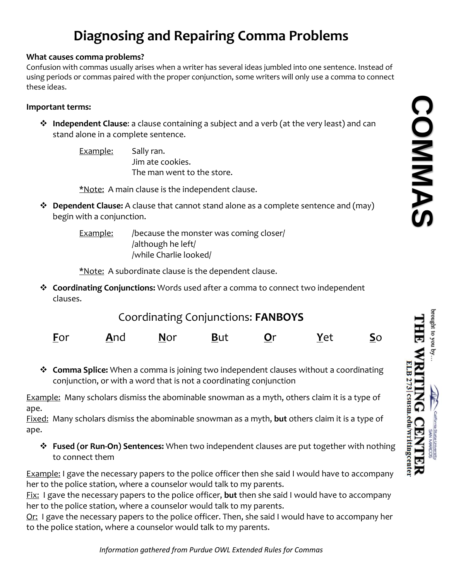# **Diagnosing and Repairing Comma Problems**

### **What causes comma problems?**

Confusion with commas usually arises when a writer has several ideas jumbled into one sentence. Instead of using periods or commas paired with the proper conjunction, some writers will only use a comma to connect these ideas.

## **Important terms:**

- **Independent Clause**: a clause containing a subject and a verb (at the very least) and can stand alone in a complete sentence.
	- Example: Sally ran. Jim ate cookies. The man went to the store.

\*Note: A main clause is the independent clause.

 **Dependent Clause:** A clause that cannot stand alone as a complete sentence and (may) begin with a conjunction.

> Example: /because the monster was coming closer/ /although he left/ /while Charlie looked/

\*Note: A subordinate clause is the dependent clause.

 **Coordinating Conjunctions:** Words used after a comma to connect two independent clauses.

| Coordinating Conjunctions: FANBOYS |  |
|------------------------------------|--|
|------------------------------------|--|

| Eor | <u>A</u> nd | <b>Nor</b> | <b>But</b> | Or | Yet | $\overline{\mathsf{S}}$ <sup>O</sup> |
|-----|-------------|------------|------------|----|-----|--------------------------------------|
|     |             |            |            |    |     |                                      |

 **Comma Splice:** When a comma is joining two independent clauses without a coordinating conjunction, or with a word that is not a coordinating conjunction

Example: Many scholars dismiss the abominable snowman as a myth, others claim it is a type of ape.

Fixed: Many scholars dismiss the abominable snowman as a myth, **but** others claim it is a type of ape.

 **Fused (or Run-On) Sentences:** When two independent clauses are put together with nothing to connect them

Example: I gave the necessary papers to the police officer then she said I would have to accompany her to the police station, where a counselor would talk to my parents.

Fix: I gave the necessary papers to the police officer, **but** then she said I would have to accompany her to the police station, where a counselor would talk to my parents.

Or: I gave the necessary papers to the police officer. Then, she said I would have to accompany her to the police station, where a counselor would talk to my parents.

**COMMAS**COMMAS